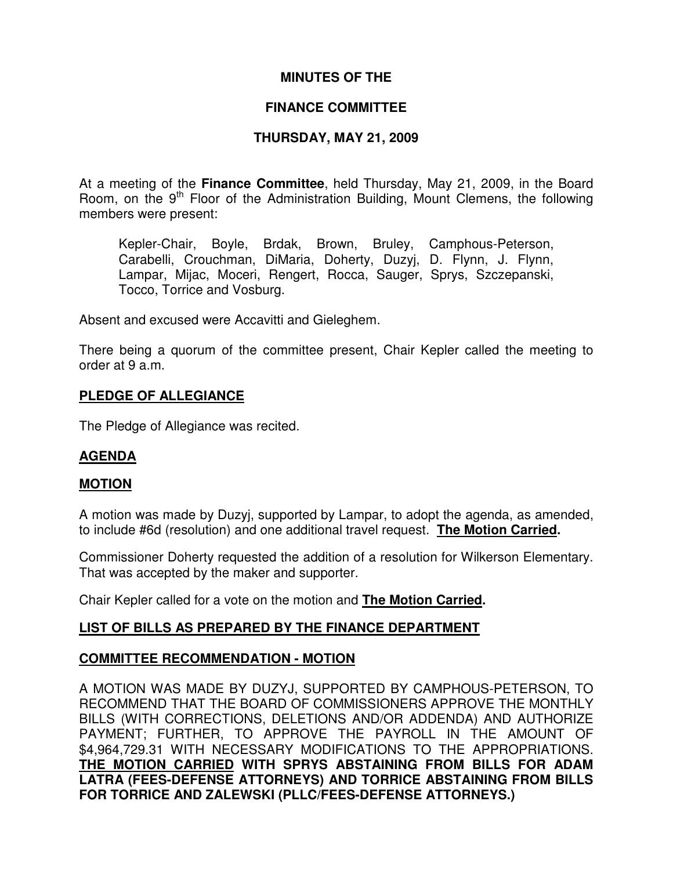## **MINUTES OF THE**

## **FINANCE COMMITTEE**

## **THURSDAY, MAY 21, 2009**

At a meeting of the **Finance Committee**, held Thursday, May 21, 2009, in the Board Room, on the 9<sup>th</sup> Floor of the Administration Building, Mount Clemens, the following members were present:

Kepler-Chair, Boyle, Brdak, Brown, Bruley, Camphous-Peterson, Carabelli, Crouchman, DiMaria, Doherty, Duzyj, D. Flynn, J. Flynn, Lampar, Mijac, Moceri, Rengert, Rocca, Sauger, Sprys, Szczepanski, Tocco, Torrice and Vosburg.

Absent and excused were Accavitti and Gieleghem.

There being a quorum of the committee present, Chair Kepler called the meeting to order at 9 a.m.

#### **PLEDGE OF ALLEGIANCE**

The Pledge of Allegiance was recited.

## **AGENDA**

#### **MOTION**

A motion was made by Duzyj, supported by Lampar, to adopt the agenda, as amended, to include #6d (resolution) and one additional travel request. **The Motion Carried.**

Commissioner Doherty requested the addition of a resolution for Wilkerson Elementary. That was accepted by the maker and supporter.

Chair Kepler called for a vote on the motion and **The Motion Carried.**

## **LIST OF BILLS AS PREPARED BY THE FINANCE DEPARTMENT**

## **COMMITTEE RECOMMENDATION - MOTION**

A MOTION WAS MADE BY DUZYJ, SUPPORTED BY CAMPHOUS-PETERSON, TO RECOMMEND THAT THE BOARD OF COMMISSIONERS APPROVE THE MONTHLY BILLS (WITH CORRECTIONS, DELETIONS AND/OR ADDENDA) AND AUTHORIZE PAYMENT; FURTHER, TO APPROVE THE PAYROLL IN THE AMOUNT OF \$4,964,729.31 WITH NECESSARY MODIFICATIONS TO THE APPROPRIATIONS. **THE MOTION CARRIED WITH SPRYS ABSTAINING FROM BILLS FOR ADAM LATRA (FEES-DEFENSE ATTORNEYS) AND TORRICE ABSTAINING FROM BILLS FOR TORRICE AND ZALEWSKI (PLLC/FEES-DEFENSE ATTORNEYS.)**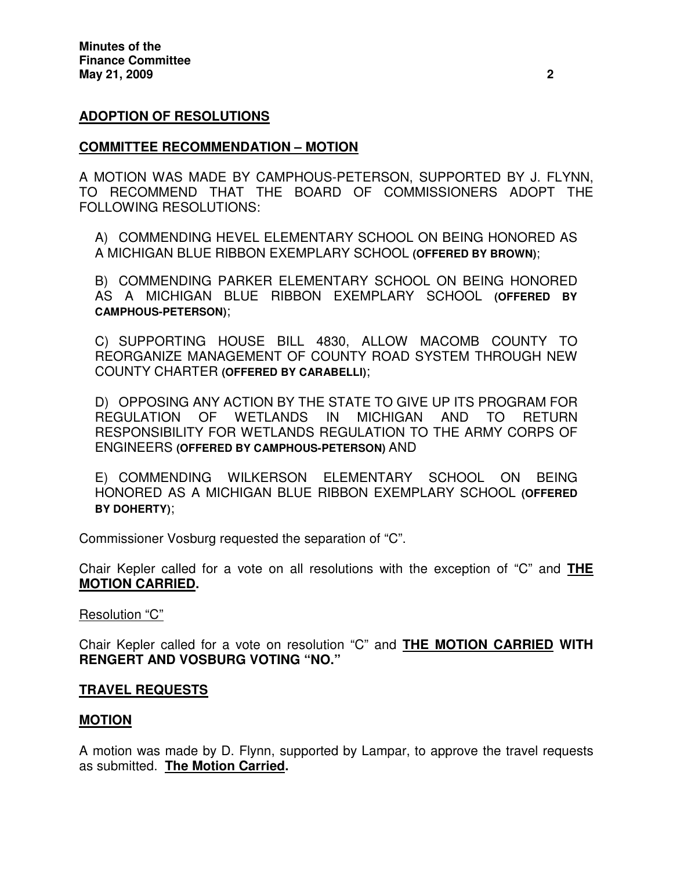## **ADOPTION OF RESOLUTIONS**

#### **COMMITTEE RECOMMENDATION – MOTION**

A MOTION WAS MADE BY CAMPHOUS-PETERSON, SUPPORTED BY J. FLYNN, TO RECOMMEND THAT THE BOARD OF COMMISSIONERS ADOPT THE FOLLOWING RESOLUTIONS:

A) COMMENDING HEVEL ELEMENTARY SCHOOL ON BEING HONORED AS A MICHIGAN BLUE RIBBON EXEMPLARY SCHOOL **(OFFERED BY BROWN)**;

B) COMMENDING PARKER ELEMENTARY SCHOOL ON BEING HONORED AS A MICHIGAN BLUE RIBBON EXEMPLARY SCHOOL **(OFFERED BY CAMPHOUS-PETERSON)**;

C) SUPPORTING HOUSE BILL 4830, ALLOW MACOMB COUNTY TO REORGANIZE MANAGEMENT OF COUNTY ROAD SYSTEM THROUGH NEW COUNTY CHARTER **(OFFERED BY CARABELLI)**;

D) OPPOSING ANY ACTION BY THE STATE TO GIVE UP ITS PROGRAM FOR REGULATION OF WETLANDS IN MICHIGAN AND TO RETURN RESPONSIBILITY FOR WETLANDS REGULATION TO THE ARMY CORPS OF ENGINEERS **(OFFERED BY CAMPHOUS-PETERSON)** AND

E) COMMENDING WILKERSON ELEMENTARY SCHOOL ON BEING HONORED AS A MICHIGAN BLUE RIBBON EXEMPLARY SCHOOL **(OFFERED BY DOHERTY)**;

Commissioner Vosburg requested the separation of "C".

Chair Kepler called for a vote on all resolutions with the exception of "C" and **THE MOTION CARRIED.**

#### Resolution "C"

Chair Kepler called for a vote on resolution "C" and **THE MOTION CARRIED WITH RENGERT AND VOSBURG VOTING "NO."**

#### **TRAVEL REQUESTS**

## **MOTION**

A motion was made by D. Flynn, supported by Lampar, to approve the travel requests as submitted. **The Motion Carried.**